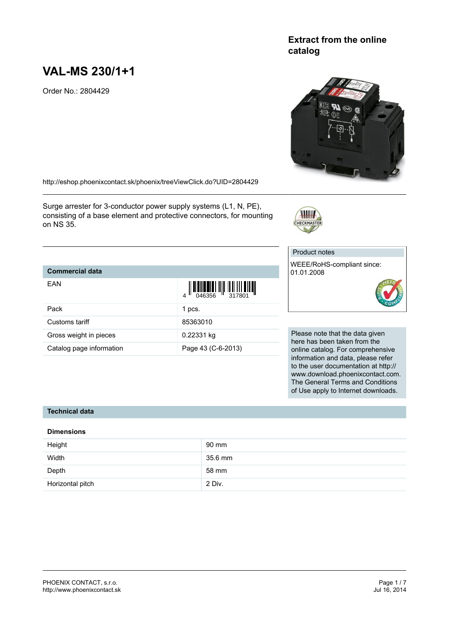# **VAL-MS 230/1+1**

Order No.: 2804429

#### <http://eshop.phoenixcontact.sk/phoenix/treeViewClick.do?UID=2804429>

Surge arrester for 3-conductor power supply systems (L1, N, PE), consisting of a base element and protective connectors, for mounting on NS 35.

# **Commercial data**

| EAN                      | $\left\  \left\  \left[ \begin{array}{c} 0 & 0 \\ 0 & 0 \end{array} \right] \right\  \right\  = \left\  \left[ \begin{array}{c} 0 & 0 \\ 0 & 0 \end{array} \right] \right\  = \left\  \left[ \begin{array}{c} 0 & 0 \\ 0 & 0 \end{array} \right] \right\  = \left\  \left[ \begin{array}{c} 0 & 0 \\ 0 & 0 \end{array} \right] \right\  = \left\  \left[ \begin{array}{c} 0 & 0 \\ 0 & 0 \end{array} \right] \right\  = \left\  \left[ \begin{array}{c} 0 & 0 \\ 0$ |
|--------------------------|---------------------------------------------------------------------------------------------------------------------------------------------------------------------------------------------------------------------------------------------------------------------------------------------------------------------------------------------------------------------------------------------------------------------------------------------------------------------|
| Pack                     | 1 pcs.                                                                                                                                                                                                                                                                                                                                                                                                                                                              |
| Customs tariff           | 85363010                                                                                                                                                                                                                                                                                                                                                                                                                                                            |
| Gross weight in pieces   | 0.22331 kg                                                                                                                                                                                                                                                                                                                                                                                                                                                          |
| Catalog page information | Page 43 (C-6-2013)                                                                                                                                                                                                                                                                                                                                                                                                                                                  |

WEEE/RoHS-compliant since: 01.01.2008

Please note that the data given here has been taken from the online catalog. For comprehensive information and data, please refer to the user documentation at http:// www.download.phoenixcontact.com. The General Terms and Conditions of Use apply to Internet downloads.

#### **Technical data**

#### **Dimensions**

| Height           | 90 mm   |
|------------------|---------|
| Width            | 35.6 mm |
| Depth            | 58 mm   |
| Horizontal pitch | 2 Div.  |

# **Extract from the online catalog**



Product notes



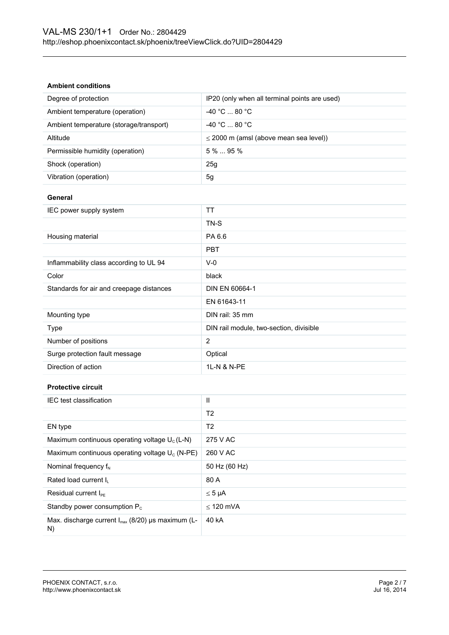#### **Ambient conditions**

| Degree of protection                                                | IP20 (only when all terminal points are used) |
|---------------------------------------------------------------------|-----------------------------------------------|
| Ambient temperature (operation)                                     | -40 °C  80 °C                                 |
| Ambient temperature (storage/transport)                             | -40 °C  80 °C                                 |
| Altitude                                                            | $\leq$ 2000 m (amsl (above mean sea level))   |
| Permissible humidity (operation)                                    | 5 %  95 %                                     |
| Shock (operation)                                                   | 25g                                           |
| Vibration (operation)                                               | 5g                                            |
| General                                                             |                                               |
| IEC power supply system                                             | <b>TT</b>                                     |
|                                                                     | TN-S                                          |
| Housing material                                                    | PA 6.6                                        |
|                                                                     | <b>PBT</b>                                    |
| Inflammability class according to UL 94                             | $V-0$                                         |
| Color                                                               | black                                         |
| Standards for air and creepage distances                            | DIN EN 60664-1                                |
|                                                                     | EN 61643-11                                   |
| Mounting type                                                       | DIN rail: 35 mm                               |
| Type                                                                | DIN rail module, two-section, divisible       |
| Number of positions                                                 | $\overline{2}$                                |
| Surge protection fault message                                      | Optical                                       |
| Direction of action                                                 | 1L-N & N-PE                                   |
| <b>Protective circuit</b>                                           |                                               |
| IEC test classification                                             | Ш                                             |
|                                                                     | T <sub>2</sub>                                |
| EN type                                                             | T <sub>2</sub>                                |
| Maximum continuous operating voltage U <sub>c</sub> (L-N)           | 275 V AC                                      |
| Maximum continuous operating voltage U <sub>c</sub> (N-PE)          | 260 V AC                                      |
| Nominal frequency f <sub>N</sub>                                    | 50 Hz (60 Hz)                                 |
| Rated load current IL                                               | 80 A                                          |
| Residual current I <sub>PE</sub>                                    | $\leq 5 \mu A$                                |
| Standby power consumption P <sub>c</sub>                            | $\leq$ 120 mVA                                |
| Max. discharge current I <sub>max</sub> (8/20) µs maximum (L-<br>N) | 40 kA                                         |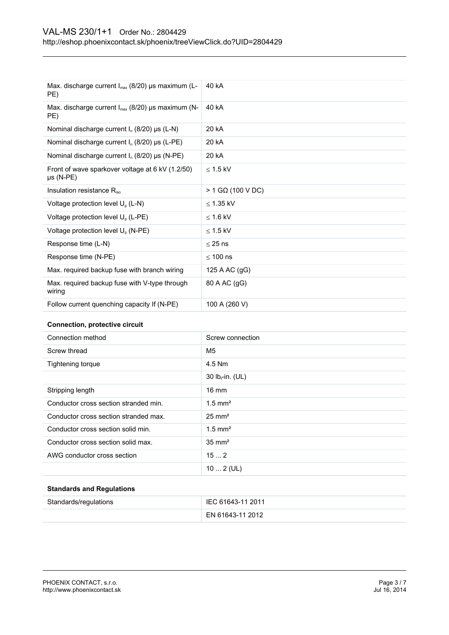| Max. discharge current $I_{max}$ (8/20) µs maximum (L-<br>PE)      | 40 kA               |
|--------------------------------------------------------------------|---------------------|
| Max. discharge current $I_{max}$ (8/20) µs maximum (N-<br>PE)      | 40 kA               |
| Nominal discharge current $I_n$ (8/20) $\mu s$ (L-N)               | 20 kA               |
| Nominal discharge current $I_n$ (8/20) $\mu s$ (L-PE)              | 20 kA               |
| Nominal discharge current $I_n$ (8/20) µs (N-PE)                   | 20 kA               |
| Front of wave sparkover voltage at 6 kV (1.2/50)<br>$\mu s$ (N-PE) | $<$ 1.5 kV          |
| Insulation resistance R <sub>iso</sub>                             | $>$ 1 GQ (100 V DC) |
| Voltage protection level $U_p$ (L-N)                               | $\leq$ 1.35 kV      |
| Voltage protection level U <sub>o</sub> (L-PE)                     | $<$ 1.6 kV          |
| Voltage protection level U <sub>p</sub> (N-PE)                     | $\leq$ 1.5 kV       |
| Response time (L-N)                                                | $<$ 25 ns           |
| Response time (N-PE)                                               | $<$ 100 ns          |
| Max. required backup fuse with branch wiring                       | 125 A AC (gG)       |
| Max. required backup fuse with V-type through<br>wiring            | 80 A AC (gG)        |
| Follow current quenching capacity If (N-PE)                        | 100 A (260 V)       |

#### **Connection, protective circuit**

| Connection method                     | Screw connection      |
|---------------------------------------|-----------------------|
| Screw thread                          | M <sub>5</sub>        |
| Tightening torque                     | 4.5 Nm                |
|                                       | 30 $lb_f$ -in. (UL)   |
| Stripping length                      | $16 \text{ mm}$       |
| Conductor cross section stranded min. | $1.5$ mm <sup>2</sup> |
| Conductor cross section stranded max. | $25 \text{ mm}^2$     |
| Conductor cross section solid min.    | $1.5$ mm <sup>2</sup> |
| Conductor cross section solid max.    | $35 \text{ mm}^2$     |
| AWG conductor cross section           | 152                   |
|                                       | $102$ (UL)            |

#### **Standards and Regulations**

| Standards/regulations | IEC 61643-11 2011 |
|-----------------------|-------------------|
|                       | EN 61643-11 2012  |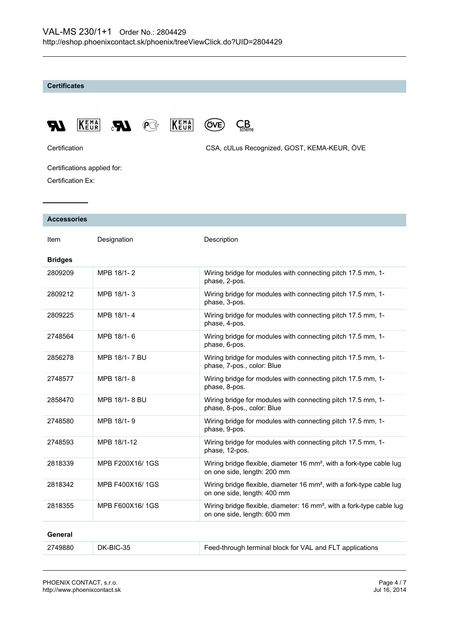#### **Certificates**









Certification CSA, cULus Recognized, GOST, KEMA-KEUR, ÖVE

Certifications applied for: Certification Ex:

KEMA

#### **Accessories**

| Item           | Designation     | Description                                                                                                      |
|----------------|-----------------|------------------------------------------------------------------------------------------------------------------|
| <b>Bridges</b> |                 |                                                                                                                  |
| 2809209        | MPB 18/1-2      | Wiring bridge for modules with connecting pitch 17.5 mm, 1-<br>phase, 2-pos.                                     |
| 2809212        | MPB 18/1-3      | Wiring bridge for modules with connecting pitch 17.5 mm, 1-<br>phase, 3-pos.                                     |
| 2809225        | MPB 18/1-4      | Wiring bridge for modules with connecting pitch 17.5 mm, 1-<br>phase, 4-pos.                                     |
| 2748564        | MPB 18/1-6      | Wiring bridge for modules with connecting pitch 17.5 mm, 1-<br>phase, 6-pos.                                     |
| 2856278        | MPB 18/1-7 BU   | Wiring bridge for modules with connecting pitch 17.5 mm, 1-<br>phase, 7-pos., color: Blue                        |
| 2748577        | MPB 18/1-8      | Wiring bridge for modules with connecting pitch 17.5 mm, 1-<br>phase, 8-pos.                                     |
| 2858470        | MPB 18/1-8 BU   | Wiring bridge for modules with connecting pitch 17.5 mm, 1-<br>phase, 8-pos., color: Blue                        |
| 2748580        | MPB 18/1-9      | Wiring bridge for modules with connecting pitch 17.5 mm, 1-<br>phase, 9-pos.                                     |
| 2748593        | MPB 18/1-12     | Wiring bridge for modules with connecting pitch 17.5 mm, 1-<br>phase, 12-pos.                                    |
| 2818339        | MPB F200X16/1GS | Wiring bridge flexible, diameter 16 mm <sup>2</sup> , with a fork-type cable lug<br>on one side, length: 200 mm  |
| 2818342        | MPB F400X16/1GS | Wiring bridge flexible, diameter 16 mm <sup>2</sup> , with a fork-type cable lug<br>on one side, length: 400 mm  |
| 2818355        | MPB F600X16/1GS | Wiring bridge flexible, diameter: 16 mm <sup>2</sup> , with a fork-type cable lug<br>on one side, length: 600 mm |
| General        |                 |                                                                                                                  |
| 2749880        | DK-BIC-35       | Feed-through terminal block for VAL and FLT applications                                                         |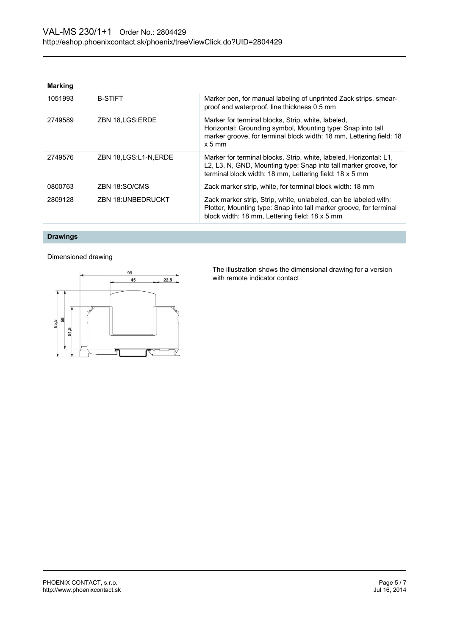#### **Marking**

| 1051993 | <b>B-STIFT</b>           | Marker pen, for manual labeling of unprinted Zack strips, smear-<br>proof and waterproof, line thickness 0.5 mm                                                                                      |
|---------|--------------------------|------------------------------------------------------------------------------------------------------------------------------------------------------------------------------------------------------|
| 2749589 | ZBN 18, LGS: ERDE        | Marker for terminal blocks, Strip, white, labeled,<br>Horizontal: Grounding symbol, Mounting type: Snap into tall<br>marker groove, for terminal block width: 18 mm, Lettering field: 18<br>$x 5$ mm |
| 2749576 | ZBN 18, LGS: L1-N, ERDE  | Marker for terminal blocks, Strip, white, labeled, Horizontal: L1,<br>L2, L3, N, GND, Mounting type: Snap into tall marker groove, for<br>terminal block width: 18 mm, Lettering field: 18 x 5 mm    |
| 0800763 | ZBN 18:SO/CMS            | Zack marker strip, white, for terminal block width: 18 mm                                                                                                                                            |
| 2809128 | <b>ZBN 18:UNBEDRUCKT</b> | Zack marker strip, Strip, white, unlabeled, can be labeled with:<br>Plotter, Mounting type: Snap into tall marker groove, for terminal<br>block width: 18 mm, Lettering field: 18 x 5 mm             |

## **Drawings**

#### Dimensioned drawing



The illustration shows the dimensional drawing for a version with remote indicator contact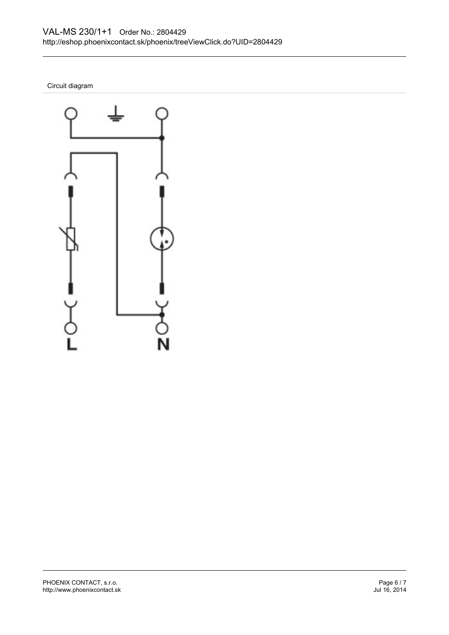Circuit diagram